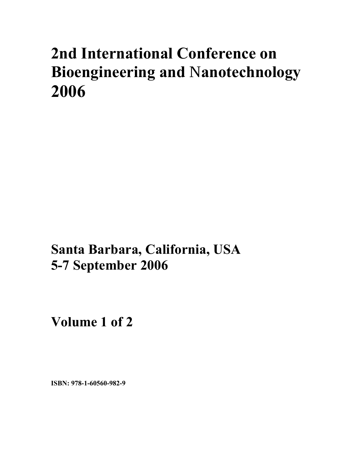# **2nd International Conference on Bioengineering and** N**anotechnology 2006**

**Santa Barbara, California, USA 5-7 September 2006** 

**Volume 1 of 2** 

**ISBN: 978-1-60560-982-9**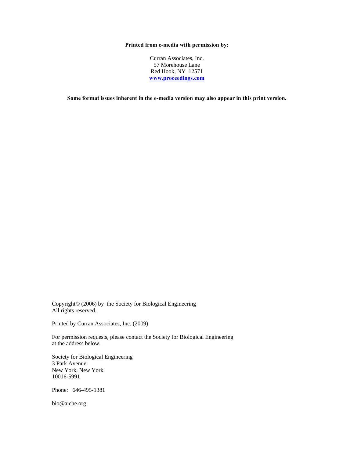#### **Printed from e-media with permission by:**

Curran Associates, Inc. 57 Morehouse Lane Red Hook, NY 12571 **[www.proceedings.com](http://www.proceedings.com/)**

**Some format issues inherent in the e-media version may also appear in this print version.** 

Copyright© (2006) by the Society for Biological Engineering All rights reserved.

Printed by Curran Associates, Inc. (2009)

For permission requests, please contact the Society for Biological Engineering at the address below.

Society for Biological Engineering 3 Park Avenue New York, New York 10016-5991

Phone: 646-495-1381

bio@aiche.org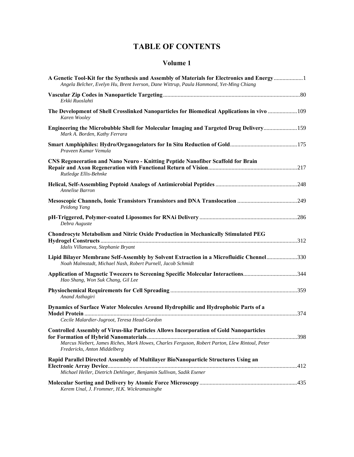## **TABLE OF CONTENTS**

#### **Volume 1**

| A Genetic Tool-Kit for the Synthesis and Assembly of Materials for Electronics and Energy1<br>Angela Belcher, Evelyn Hu, Brent Iverson, Dane Wittrup, Paula Hammond, Yet-Ming Chiang                                     |  |
|--------------------------------------------------------------------------------------------------------------------------------------------------------------------------------------------------------------------------|--|
| Erkki Ruoslahti                                                                                                                                                                                                          |  |
| Karen Wooley                                                                                                                                                                                                             |  |
| Engineering the Microbubble Shell for Molecular Imaging and Targeted Drug Delivery 159<br>Mark A. Borden, Kathy Ferrara                                                                                                  |  |
| Praveen Kumar Vemula                                                                                                                                                                                                     |  |
| <b>CNS Regeneeration and Nano Neuro - Knitting Peptide Nanofiber Scaffold for Brain</b><br>Rutledge Ellis-Behnke                                                                                                         |  |
| Annelise Barron                                                                                                                                                                                                          |  |
| Peidong Yang                                                                                                                                                                                                             |  |
| Debra Auguste                                                                                                                                                                                                            |  |
| Chondrocyte Metabolism and Nitric Oxide Production in Mechanically Stimulated PEG<br>Idalis Villanueva, Stephanie Bryant                                                                                                 |  |
| Lipid Bilayer Membrane Self-Assembly by Solvent Extraction in a Microfluidic Chennel330<br>Noah Malmstadt, Michael Nash, Robert Purnell, Jacob Schmidt                                                                   |  |
| Application of Magnetic Tweezers to Screening Specific Molecular Interactions344<br>Hao Shang, Won Suk Chang, Gil Lee                                                                                                    |  |
| Anand Asthagiri                                                                                                                                                                                                          |  |
| Dynamics of Surface Water Molecules Around Hydrophilic and Hydrophobic Parts of a<br>Cecile Malardier-Jugroot, Teresa Head-Gordon                                                                                        |  |
| Controlled Assembly of Virus-like Particles Allows Incorporation of Gold Nanoparticles<br>Marcus Niebert, James Riches, Mark Howes, Charles Ferguson, Robert Parton, Llew Rintoul, Peter<br>Fredericks, Anton Middelberg |  |
| Rapid Parallel Directed Assembly of Multilayer BioNanoparticle Structures Using an<br>Michael Heller, Dietrich Dehlinger, Benjamin Sullivan, Sadik Esener                                                                |  |
| Kerem Unal, J. Frommer, H.K. Wickramasinghe                                                                                                                                                                              |  |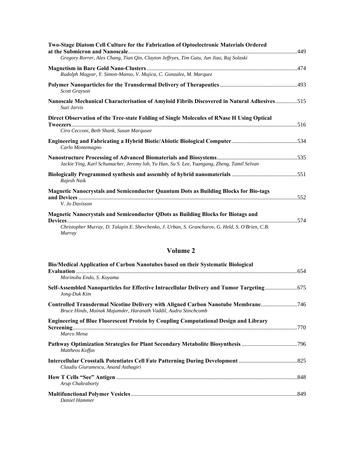| <b>Two-Stage Diatom Cell Culture for the Fabrication of Optoelectronic Materials Ordered</b>                                          |  |
|---------------------------------------------------------------------------------------------------------------------------------------|--|
| Gregory Rorrer, Alex Chang, Tian Qin, Clayton Jeffryes, Tim Gutu, Jun Jiao, Raj Solaski                                               |  |
| Rudolph Magyar, Y. Simon-Manso, V. Mujica, C. Gonzalez, M. Marquez                                                                    |  |
| Scott Grayson                                                                                                                         |  |
| Nanoscale Mechanical Characterisation of Amyloid Fibrils Discovered in Natural Adhesives515<br>Suzi Jarvis                            |  |
| Direct Observation of the Tree-state Folding of Single Molecules of RNase H Using Optical<br>Ciro Cecconi, Beth Shank, Susan Marqusee |  |
| Carlo Montemagno                                                                                                                      |  |
| Jackie Ying, Karl Schumacher, Jeremy loh, Yu Han, Su S. Lee, Yuangang, Zheng, Tamil Selvan                                            |  |
| Rajesh Naik                                                                                                                           |  |
| Magnetic Nanocrystals and Semiconductor Quantum Dots as Building Blocks for Bio-tags<br>V. Jo Davisson                                |  |
| Magnetic Nanocrystals and Semiconductor QDots as Building Blocks for Biotags and                                                      |  |
| Christopher Murray, D. Talapin E. Shevchenko, J. Urban, S. Grancharov, G. Held, S. O'Brien, C.B.<br>Murray                            |  |

### **Volume 2**

| Bio/Medical Application of Carbon Nanotubes based on their Systematic Biological                          |  |
|-----------------------------------------------------------------------------------------------------------|--|
| Morinobu Endo, S. Koyama                                                                                  |  |
| Jong-Duk Kim                                                                                              |  |
| Bruce Hinds, Mainak Majumder, Haranath Vaddil, Audra Stinchcomb                                           |  |
| <b>Engineering of Blue Fluorescent Protein by Coupling Computational Design and Library</b><br>Marco Mena |  |
| Pathway Optimization Strategies for Plant Secondary Metabolite Biosynthesis 796<br>Mattheos Koffas        |  |
| Claudiu Giurumescu, Anand Asthagiri                                                                       |  |
| Arup Chakraborty                                                                                          |  |
| Daniel Hammer                                                                                             |  |